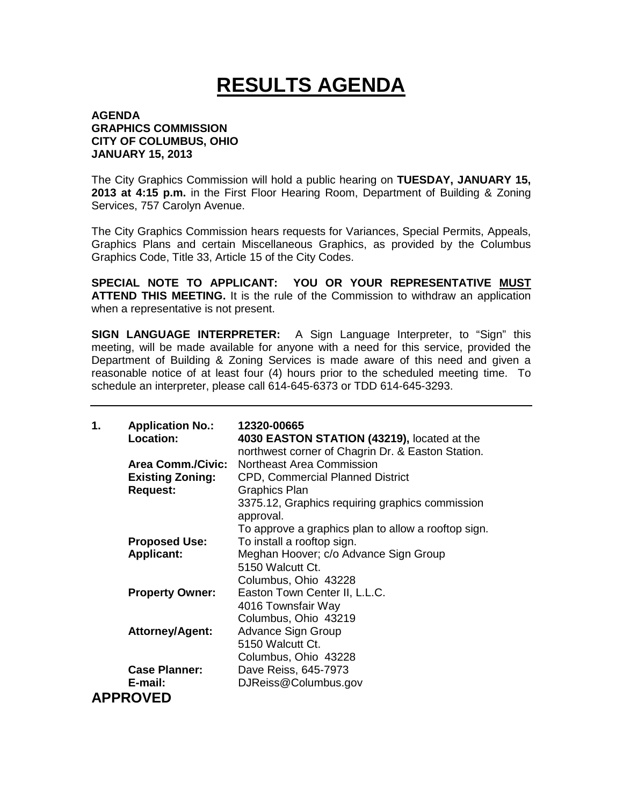## **RESULTS AGENDA**

## **AGENDA GRAPHICS COMMISSION CITY OF COLUMBUS, OHIO JANUARY 15, 2013**

The City Graphics Commission will hold a public hearing on **TUESDAY, JANUARY 15, 2013 at 4:15 p.m.** in the First Floor Hearing Room, Department of Building & Zoning Services, 757 Carolyn Avenue.

The City Graphics Commission hears requests for Variances, Special Permits, Appeals, Graphics Plans and certain Miscellaneous Graphics, as provided by the Columbus Graphics Code, Title 33, Article 15 of the City Codes.

**SPECIAL NOTE TO APPLICANT: YOU OR YOUR REPRESENTATIVE MUST ATTEND THIS MEETING.** It is the rule of the Commission to withdraw an application when a representative is not present.

**SIGN LANGUAGE INTERPRETER:** A Sign Language Interpreter, to "Sign" this meeting, will be made available for anyone with a need for this service, provided the Department of Building & Zoning Services is made aware of this need and given a reasonable notice of at least four (4) hours prior to the scheduled meeting time. To schedule an interpreter, please call 614-645-6373 or TDD 614-645-3293.

| 1. | <b>Application No.:</b><br>Location: | 12320-00665<br>4030 EASTON STATION (43219), located at the<br>northwest corner of Chagrin Dr. & Easton Station. |
|----|--------------------------------------|-----------------------------------------------------------------------------------------------------------------|
|    | <b>Area Comm./Civic:</b>             | Northeast Area Commission                                                                                       |
|    | <b>Existing Zoning:</b>              | <b>CPD, Commercial Planned District</b>                                                                         |
|    | <b>Request:</b>                      | <b>Graphics Plan</b>                                                                                            |
|    |                                      | 3375.12, Graphics requiring graphics commission<br>approval.                                                    |
|    |                                      | To approve a graphics plan to allow a rooftop sign.                                                             |
|    | <b>Proposed Use:</b>                 | To install a rooftop sign.                                                                                      |
|    | <b>Applicant:</b>                    | Meghan Hoover; c/o Advance Sign Group                                                                           |
|    |                                      | 5150 Walcutt Ct.                                                                                                |
|    |                                      | Columbus, Ohio 43228                                                                                            |
|    | <b>Property Owner:</b>               | Easton Town Center II, L.L.C.                                                                                   |
|    |                                      | 4016 Townsfair Way                                                                                              |
|    |                                      | Columbus, Ohio 43219                                                                                            |
|    | <b>Attorney/Agent:</b>               | <b>Advance Sign Group</b>                                                                                       |
|    |                                      | 5150 Walcutt Ct.                                                                                                |
|    |                                      | Columbus, Ohio 43228                                                                                            |
|    | <b>Case Planner:</b>                 | Dave Reiss, 645-7973                                                                                            |
|    | E-mail:                              | DJReiss@Columbus.gov                                                                                            |
|    | <b>APPROVED</b>                      |                                                                                                                 |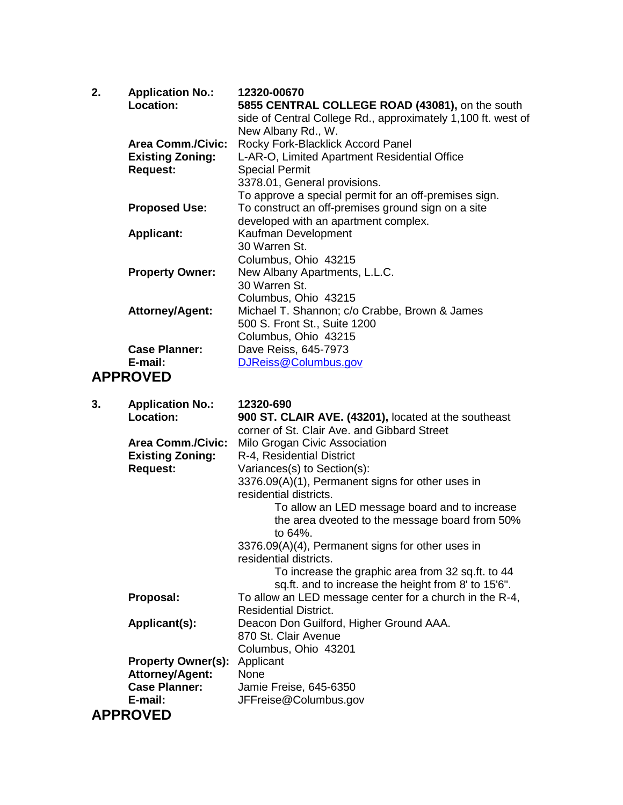| 2. | <b>Application No.:</b>  | 12320-00670                                                  |
|----|--------------------------|--------------------------------------------------------------|
|    | <b>Location:</b>         | 5855 CENTRAL COLLEGE ROAD (43081), on the south              |
|    |                          | side of Central College Rd., approximately 1,100 ft. west of |
|    |                          | New Albany Rd., W.                                           |
|    | <b>Area Comm./Civic:</b> | Rocky Fork-Blacklick Accord Panel                            |
|    | <b>Existing Zoning:</b>  | L-AR-O, Limited Apartment Residential Office                 |
|    | <b>Request:</b>          | <b>Special Permit</b>                                        |
|    |                          | 3378.01, General provisions.                                 |
|    |                          | To approve a special permit for an off-premises sign.        |
|    | <b>Proposed Use:</b>     | To construct an off-premises ground sign on a site           |
|    |                          | developed with an apartment complex.                         |
|    | <b>Applicant:</b>        | Kaufman Development                                          |
|    |                          | 30 Warren St.                                                |
|    |                          | Columbus, Ohio 43215                                         |
|    | <b>Property Owner:</b>   | New Albany Apartments, L.L.C.                                |
|    |                          | 30 Warren St.                                                |
|    |                          | Columbus, Ohio 43215                                         |
|    | <b>Attorney/Agent:</b>   | Michael T. Shannon; c/o Crabbe, Brown & James                |
|    |                          | 500 S. Front St., Suite 1200                                 |
|    |                          | Columbus, Ohio 43215                                         |
|    | <b>Case Planner:</b>     | Dave Reiss, 645-7973                                         |
|    | E-mail:                  | DJReiss@Columbus.gov                                         |
|    | <b>ADDROVED</b>          |                                                              |

## **APPROVED**

| 3. | <b>Application No.:</b>                    | 12320-690                                               |
|----|--------------------------------------------|---------------------------------------------------------|
|    | Location:                                  | 900 ST. CLAIR AVE. (43201), located at the southeast    |
|    |                                            | corner of St. Clair Ave. and Gibbard Street             |
|    | <b>Area Comm./Civic:</b>                   | Milo Grogan Civic Association                           |
|    | <b>Existing Zoning:</b><br><b>Request:</b> | R-4, Residential District                               |
|    |                                            | Variances(s) to Section(s):                             |
|    |                                            | 3376.09(A)(1), Permanent signs for other uses in        |
|    |                                            | residential districts.                                  |
|    |                                            | To allow an LED message board and to increase           |
|    |                                            | the area dveoted to the message board from 50%          |
|    |                                            | to 64%.                                                 |
|    |                                            | 3376.09(A)(4), Permanent signs for other uses in        |
|    |                                            | residential districts.                                  |
|    |                                            | To increase the graphic area from 32 sq.ft. to 44       |
|    |                                            | sq.ft. and to increase the height from 8' to 15'6".     |
|    | Proposal:                                  | To allow an LED message center for a church in the R-4, |
|    |                                            | <b>Residential District.</b>                            |
|    | Applicant(s):                              | Deacon Don Guilford, Higher Ground AAA.                 |
|    |                                            | 870 St. Clair Avenue                                    |
|    |                                            | Columbus, Ohio 43201                                    |
|    | <b>Property Owner(s):</b>                  | Applicant                                               |
|    | <b>Attorney/Agent:</b>                     | None                                                    |
|    | <b>Case Planner:</b>                       | Jamie Freise, 645-6350                                  |
|    | E-mail:                                    | JFFreise@Columbus.gov                                   |
|    | <b>APPROVED</b>                            |                                                         |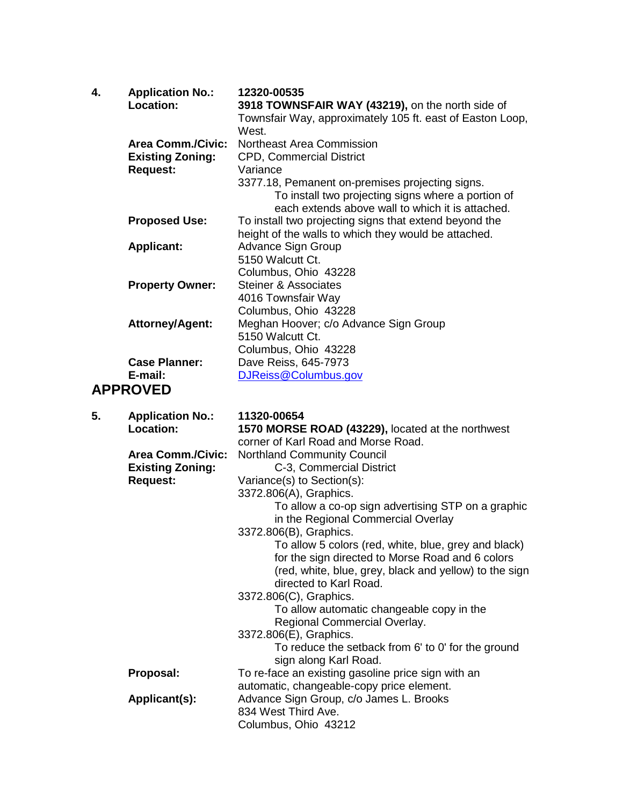| 4. | <b>Application No.:</b><br><b>Location:</b> | 12320-00535<br>3918 TOWNSFAIR WAY (43219), on the north side of |
|----|---------------------------------------------|-----------------------------------------------------------------|
|    |                                             | Townsfair Way, approximately 105 ft. east of Easton Loop,       |
|    |                                             | West.                                                           |
|    | <b>Area Comm./Civic:</b>                    | <b>Northeast Area Commission</b>                                |
|    | <b>Existing Zoning:</b>                     | <b>CPD, Commercial District</b>                                 |
|    |                                             |                                                                 |
|    | <b>Request:</b>                             | Variance                                                        |
|    |                                             | 3377.18, Pemanent on-premises projecting signs.                 |
|    |                                             | To install two projecting signs where a portion of              |
|    |                                             | each extends above wall to which it is attached.                |
|    | <b>Proposed Use:</b>                        | To install two projecting signs that extend beyond the          |
|    |                                             | height of the walls to which they would be attached.            |
|    | <b>Applicant:</b>                           | Advance Sign Group                                              |
|    |                                             | 5150 Walcutt Ct.                                                |
|    |                                             | Columbus, Ohio 43228                                            |
|    | <b>Property Owner:</b>                      | Steiner & Associates                                            |
|    |                                             | 4016 Townsfair Way                                              |
|    |                                             | Columbus, Ohio 43228                                            |
|    | <b>Attorney/Agent:</b>                      | Meghan Hoover; c/o Advance Sign Group                           |
|    |                                             | 5150 Walcutt Ct.                                                |
|    |                                             |                                                                 |
|    |                                             | Columbus, Ohio 43228                                            |
|    | <b>Case Planner:</b>                        | Dave Reiss, 645-7973                                            |
|    | E-mail:                                     | DJReiss@Columbus.gov                                            |
|    | <b>APPROVED</b>                             |                                                                 |
| 5  | Annlication No .                            | 11320-00654                                                     |

| <b>Application No.:</b>  | 11320-00654                                            |
|--------------------------|--------------------------------------------------------|
| <b>Location:</b>         | 1570 MORSE ROAD (43229), located at the northwest      |
|                          | corner of Karl Road and Morse Road.                    |
| <b>Area Comm./Civic:</b> | <b>Northland Community Council</b>                     |
| <b>Existing Zoning:</b>  | C-3, Commercial District                               |
|                          | Variance(s) to Section(s):                             |
|                          | 3372.806(A), Graphics.                                 |
|                          | To allow a co-op sign advertising STP on a graphic     |
|                          | in the Regional Commercial Overlay                     |
|                          | 3372.806(B), Graphics.                                 |
|                          | To allow 5 colors (red, white, blue, grey and black)   |
|                          | for the sign directed to Morse Road and 6 colors       |
|                          | (red, white, blue, grey, black and yellow) to the sign |
|                          | directed to Karl Road.                                 |
|                          | 3372.806(C), Graphics.                                 |
|                          | To allow automatic changeable copy in the              |
|                          | Regional Commercial Overlay.                           |
|                          | 3372.806(E), Graphics.                                 |
|                          | To reduce the setback from 6' to 0' for the ground     |
|                          | sign along Karl Road.                                  |
| Proposal:                | To re-face an existing gasoline price sign with an     |
|                          | automatic, changeable-copy price element.              |
| Applicant(s):            | Advance Sign Group, c/o James L. Brooks                |
|                          | 834 West Third Ave.                                    |
|                          | Columbus, Ohio 43212                                   |
|                          | <b>Request:</b>                                        |